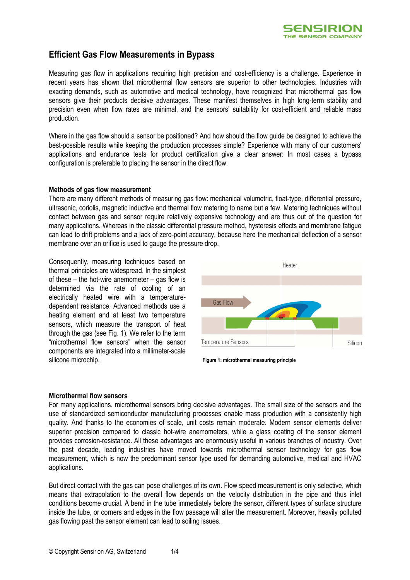

# **Efficient Gas Flow Measurements in Bypass**

Measuring gas flow in applications requiring high precision and cost-efficiency is a challenge. Experience in recent years has shown that microthermal flow sensors are superior to other technologies. Industries with exacting demands, such as automotive and medical technology, have recognized that microthermal gas flow sensors give their products decisive advantages. These manifest themselves in high long-term stability and precision even when flow rates are minimal, and the sensors' suitability for cost-efficient and reliable mass production.

Where in the gas flow should a sensor be positioned? And how should the flow guide be designed to achieve the best-possible results while keeping the production processes simple? Experience with many of our customers' applications and endurance tests for product certification give a clear answer: In most cases a bypass configuration is preferable to placing the sensor in the direct flow.

#### **Methods of gas flow measurement**

There are many different methods of measuring gas flow: mechanical volumetric, float-type, differential pressure, ultrasonic, coriolis, magnetic inductive and thermal flow metering to name but a few. Metering techniques without contact between gas and sensor require relatively expensive technology and are thus out of the question for many applications. Whereas in the classic differential pressure method, hysteresis effects and membrane fatigue can lead to drift problems and a lack of zero-point accuracy, because here the mechanical deflection of a sensor membrane over an orifice is used to gauge the pressure drop.

Consequently, measuring techniques based on thermal principles are widespread. In the simplest of these – the hot-wire anemometer – gas flow is determined via the rate of cooling of an electrically heated wire with a temperaturedependent resistance. Advanced methods use a heating element and at least two temperature sensors, which measure the transport of heat through the gas (see Fig. 1). We refer to the term "microthermal flow sensors" when the sensor components are integrated into a millimeter-scale silicone microchip.



**Figure 1: microthermal measuring principle**

#### **Microthermal flow sensors**

For many applications, microthermal sensors bring decisive advantages. The small size of the sensors and the use of standardized semiconductor manufacturing processes enable mass production with a consistently high quality. And thanks to the economies of scale, unit costs remain moderate. Modern sensor elements deliver superior precision compared to classic hot-wire anemometers, while a glass coating of the sensor element provides corrosion-resistance. All these advantages are enormously useful in various branches of industry. Over the past decade, leading industries have moved towards microthermal sensor technology for gas flow measurement, which is now the predominant sensor type used for demanding automotive, medical and HVAC applications.

But direct contact with the gas can pose challenges of its own. Flow speed measurement is only selective, which means that extrapolation to the overall flow depends on the velocity distribution in the pipe and thus inlet conditions become crucial. A bend in the tube immediately before the sensor, different types of surface structure inside the tube, or corners and edges in the flow passage will alter the measurement. Moreover, heavily polluted gas flowing past the sensor element can lead to soiling issues.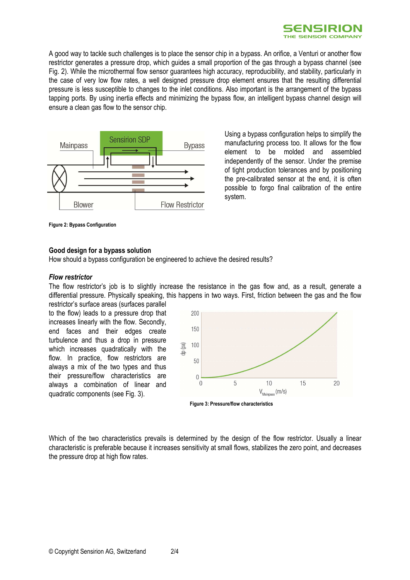

A good way to tackle such challenges is to place the sensor chip in a bypass. An orifice, a Venturi or another flow restrictor generates a pressure drop, which guides a small proportion of the gas through a bypass channel (see Fig. 2). While the microthermal flow sensor guarantees high accuracy, reproducibility, and stability, particularly in the case of very low flow rates, a well designed pressure drop element ensures that the resulting differential pressure is less susceptible to changes to the inlet conditions. Also important is the arrangement of the bypass tapping ports. By using inertia effects and minimizing the bypass flow, an intelligent bypass channel design will ensure a clean gas flow to the sensor chip.



Using a bypass configuration helps to simplify the manufacturing process too. It allows for the flow element to be molded and assembled independently of the sensor. Under the premise of tight production tolerances and by positioning the pre-calibrated sensor at the end, it is often possible to forgo final calibration of the entire system.

**Figure 2: Bypass Configuration** 

#### **Good design for a bypass solution**

How should a bypass configuration be engineered to achieve the desired results?

#### *Flow restrictor*

The flow restrictor's job is to slightly increase the resistance in the gas flow and, as a result, generate a differential pressure. Physically speaking, this happens in two ways. First, friction between the gas and the flow restrictor's surface areas (surfaces parallel

to the flow) leads to a pressure drop that increases linearly with the flow. Secondly, end faces and their edges create turbulence and thus a drop in pressure which increases quadratically with the flow. In practice, flow restrictors are always a mix of the two types and thus their pressure/flow characteristics are always a combination of linear and quadratic components (see Fig. 3).



**Figure 3: Pressure/flow characteristics** 

Which of the two characteristics prevails is determined by the design of the flow restrictor. Usually a linear characteristic is preferable because it increases sensitivity at small flows, stabilizes the zero point, and decreases the pressure drop at high flow rates.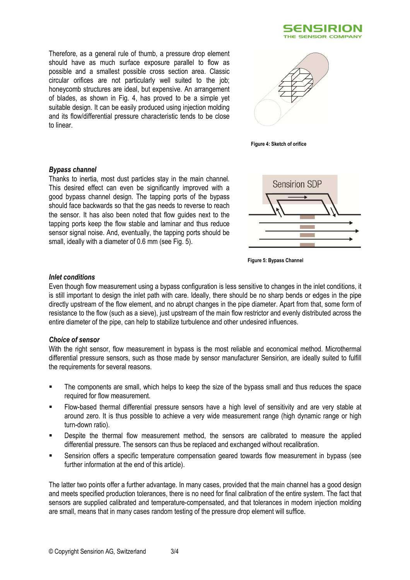

Therefore, as a general rule of thumb, a pressure drop element should have as much surface exposure parallel to flow as possible and a smallest possible cross section area. Classic circular orifices are not particularly well suited to the job; honeycomb structures are ideal, but expensive. An arrangement of blades, as shown in Fig. 4, has proved to be a simple yet suitable design. It can be easily produced using injection molding and its flow/differential pressure characteristic tends to be close to linear.



**Figure 4: Sketch of orifice**

#### *Bypass channel*

Thanks to inertia, most dust particles stay in the main channel. This desired effect can even be significantly improved with a good bypass channel design. The tapping ports of the bypass should face backwards so that the gas needs to reverse to reach the sensor. It has also been noted that flow guides next to the tapping ports keep the flow stable and laminar and thus reduce sensor signal noise. And, eventually, the tapping ports should be small, ideally with a diameter of 0.6 mm (see Fig. 5).



 **Figure 5: Bypass Channel** 

#### *Inlet conditions*

Even though flow measurement using a bypass configuration is less sensitive to changes in the inlet conditions, it is still important to design the inlet path with care. Ideally, there should be no sharp bends or edges in the pipe directly upstream of the flow element, and no abrupt changes in the pipe diameter. Apart from that, some form of resistance to the flow (such as a sieve), just upstream of the main flow restrictor and evenly distributed across the entire diameter of the pipe, can help to stabilize turbulence and other undesired influences.

#### *Choice of sensor*

With the right sensor, flow measurement in bypass is the most reliable and economical method. Microthermal differential pressure sensors, such as those made by sensor manufacturer Sensirion, are ideally suited to fulfill the requirements for several reasons.

- The components are small, which helps to keep the size of the bypass small and thus reduces the space required for flow measurement.
- Flow-based thermal differential pressure sensors have a high level of sensitivity and are very stable at around zero. It is thus possible to achieve a very wide measurement range (high dynamic range or high turn-down ratio).
- Despite the thermal flow measurement method, the sensors are calibrated to measure the applied differential pressure. The sensors can thus be replaced and exchanged without recalibration.
- Sensirion offers a specific temperature compensation geared towards flow measurement in bypass (see further information at the end of this article).

The latter two points offer a further advantage. In many cases, provided that the main channel has a good design and meets specified production tolerances, there is no need for final calibration of the entire system. The fact that sensors are supplied calibrated and temperature-compensated, and that tolerances in modern injection molding are small, means that in many cases random testing of the pressure drop element will suffice.